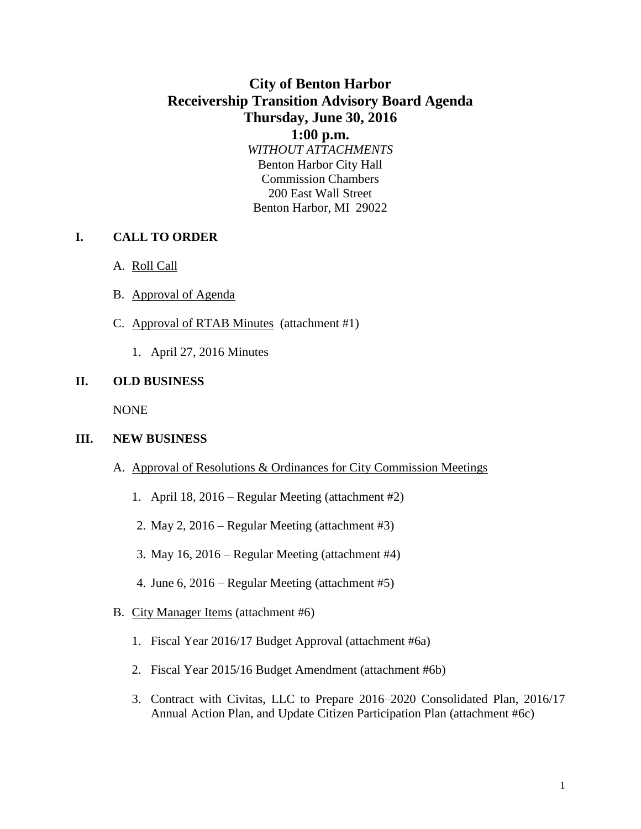# **City of Benton Harbor Receivership Transition Advisory Board Agenda Thursday, June 30, 2016**

**1:00 p.m.** *WITHOUT ATTACHMENTS* Benton Harbor City Hall Commission Chambers 200 East Wall Street Benton Harbor, MI 29022

### **I. CALL TO ORDER**

- A. Roll Call
- B. Approval of Agenda
- C. Approval of RTAB Minutes (attachment #1)
	- 1. April 27, 2016 Minutes

#### **II. OLD BUSINESS**

NONE

#### **III. NEW BUSINESS**

- A. Approval of Resolutions & Ordinances for City Commission Meetings
	- 1. April 18, 2016 Regular Meeting (attachment #2)
	- 2. May 2, 2016 Regular Meeting (attachment #3)
	- 3. May 16, 2016 Regular Meeting (attachment #4)
	- 4. June 6, 2016 Regular Meeting (attachment #5)
- B. City Manager Items (attachment #6)
	- 1. Fiscal Year 2016/17 Budget Approval (attachment #6a)
	- 2. Fiscal Year 2015/16 Budget Amendment (attachment #6b)
	- 3. Contract with Civitas, LLC to Prepare 2016–2020 Consolidated Plan, 2016/17 Annual Action Plan, and Update Citizen Participation Plan (attachment #6c)